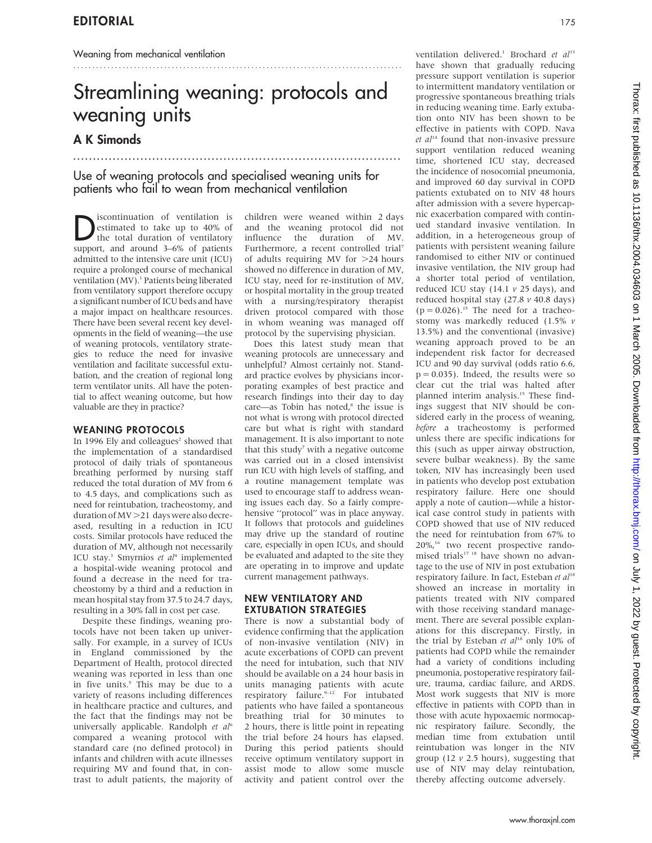# Streamlining weaning: protocols and weaning units

.......................................................................................

## A K Simonds

Use of weaning protocols and specialised weaning units for patients who fail to wean from mechanical ventilation

...................................................................................

**D**iscontinuation of ventilation is<br>the total duration of ventilatory<br>support and around  $\frac{3}{2}6\%$  of patients estimated to take up to 40% of the total duration of ventilatory support, and around 3–6% of patients admitted to the intensive care unit (ICU) require a prolonged course of mechanical ventilation (MV).<sup>1</sup> Patients being liberated from ventilatory support therefore occupy a significant number of ICU beds and have a major impact on healthcare resources. There have been several recent key developments in the field of weaning—the use of weaning protocols, ventilatory strategies to reduce the need for invasive ventilation and facilitate successful extubation, and the creation of regional long term ventilator units. All have the potential to affect weaning outcome, but how valuable are they in practice?

#### WEANING PROTOCOLS

In 1996 Ely and colleagues<sup>2</sup> showed that the implementation of a standardised protocol of daily trials of spontaneous breathing performed by nursing staff reduced the total duration of MV from 6 to 4.5 days, and complications such as need for reintubation, tracheostomy, and duration of MV > 21 days were also decreased, resulting in a reduction in ICU costs. Similar protocols have reduced the duration of MV, although not necessarily ICU stay.<sup>3</sup> Smyrnios et al<sup>4</sup> implemented a hospital-wide weaning protocol and found a decrease in the need for tracheostomy by a third and a reduction in mean hospital stay from 37.5 to 24.7 days, resulting in a 30% fall in cost per case.

Despite these findings, weaning protocols have not been taken up universally. For example, in a survey of ICUs in England commissioned by the Department of Health, protocol directed weaning was reported in less than one in five units.<sup>5</sup> This may be due to a variety of reasons including differences in healthcare practice and cultures, and the fact that the findings may not be universally applicable. Randolph et al<sup>6</sup> compared a weaning protocol with standard care (no defined protocol) in infants and children with acute illnesses requiring MV and found that, in contrast to adult patients, the majority of children were weaned within 2 days and the weaning protocol did not influence the duration of MV. Furthermore, a recent controlled trial<sup>7</sup> of adults requiring MV for  $>24$  hours showed no difference in duration of MV, ICU stay, need for re-institution of MV, or hospital mortality in the group treated with a nursing/respiratory therapist driven protocol compared with those in whom weaning was managed off protocol by the supervising physician.

Does this latest study mean that weaning protocols are unnecessary and unhelpful? Almost certainly not. Standard practice evolves by physicians incorporating examples of best practice and research findings into their day to day  $care$ —as Tobin has noted, $^8$  the issue is not what is wrong with protocol directed care but what is right with standard management. It is also important to note that this study<sup>7</sup> with a negative outcome was carried out in a closed intensivist run ICU with high levels of staffing, and a routine management template was used to encourage staff to address weaning issues each day. So a fairly comprehensive ''protocol'' was in place anyway. It follows that protocols and guidelines may drive up the standard of routine care, especially in open ICUs, and should be evaluated and adapted to the site they are operating in to improve and update current management pathways.

#### NEW VENTILATORY AND EXTUBATION STRATEGIES

There is now a substantial body of evidence confirming that the application of non-invasive ventilation (NIV) in acute excerbations of COPD can prevent the need for intubation, such that NIV should be available on a 24 hour basis in units managing patients with acute respiratory failure.<sup>9-12</sup> For intubated patients who have failed a spontaneous breathing trial for 30 minutes to 2 hours, there is little point in repeating the trial before 24 hours has elapsed. During this period patients should receive optimum ventilatory support in assist mode to allow some muscle activity and patient control over the

ventilation delivered.<sup>1</sup> Brochard et al<sup>13</sup> have shown that gradually reducing pressure support ventilation is superior to intermittent mandatory ventilation or progressive spontaneous breathing trials in reducing weaning time. Early extubation onto NIV has been shown to be effective in patients with COPD. Nava  $et$   $al<sup>14</sup>$  found that non-invasive pressure support ventilation reduced weaning time, shortened ICU stay, decreased the incidence of nosocomial pneumonia, and improved 60 day survival in COPD patients extubated on to NIV 48 hours after admission with a severe hypercapnic exacerbation compared with continued standard invasive ventilation. In addition, in a heterogeneous group of patients with persistent weaning failure randomised to either NIV or continued invasive ventilation, the NIV group had a shorter total period of ventilation, reduced ICU stay (14.1  $\nu$  25 days), and reduced hospital stay  $(27.8 v 40.8 \text{ days})$  $(p = 0.026)^{15}$  The need for a tracheostomy was markedly reduced (1.5% v 13.5%) and the conventional (invasive) weaning approach proved to be an independent risk factor for decreased ICU and 90 day survival (odds ratio 6.6,  $p = 0.035$ ). Indeed, the results were so clear cut the trial was halted after planned interim analysis.15 These findings suggest that NIV should be considered early in the process of weaning, before a tracheostomy is performed unless there are specific indications for this (such as upper airway obstruction, severe bulbar weakness). By the same token, NIV has increasingly been used in patients who develop post extubation respiratory failure. Here one should apply a note of caution—while a historical case control study in patients with COPD showed that use of NIV reduced the need for reintubation from 67% to 20%,16 two recent prospective randomised trials<sup>17</sup><sup>18</sup> have shown no advantage to the use of NIV in post extubation respiratory failure. In fact, Esteban et al<sup>18</sup> showed an increase in mortality in patients treated with NIV compared with those receiving standard management. There are several possible explanations for this discrepancy. Firstly, in the trial by Esteban et  $al^{18}$  only 10% of patients had COPD while the remainder had a variety of conditions including pneumonia, postoperative respiratory failure, trauma, cardiac failure, and ARDS. Most work suggests that NIV is more effective in patients with COPD than in those with acute hypoxaemic normocapnic respiratory failure. Secondly, the median time from extubation until reintubation was longer in the NIV group (12  $\nu$  2.5 hours), suggesting that use of NIV may delay reintubation, thereby affecting outcome adversely.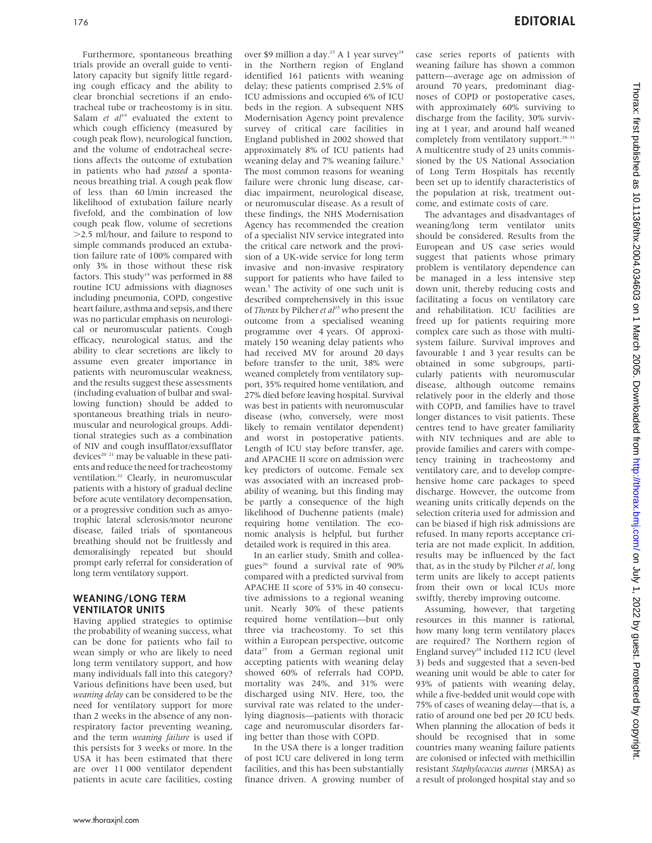Furthermore, spontaneous breathing trials provide an overall guide to ventilatory capacity but signify little regarding cough efficacy and the ability to clear bronchial secretions if an endotracheal tube or tracheostomy is in situ. Salam et  $al^{19}$  evaluated the extent to which cough efficiency (measured by cough peak flow), neurological function, and the volume of endotracheal secretions affects the outcome of extubation in patients who had passed a spontaneous breathing trial. A cough peak flow of less than 60 l/min increased the likelihood of extubation failure nearly fivefold, and the combination of low cough peak flow, volume of secretions .2.5 ml/hour, and failure to respond to simple commands produced an extubation failure rate of 100% compared with only 3% in those without these risk factors. This study<sup>19</sup> was performed in 88 routine ICU admissions with diagnoses including pneumonia, COPD, congestive heart failure, asthma and sepsis, and there was no particular emphasis on neurological or neuromuscular patients. Cough efficacy, neurological status, and the ability to clear secretions are likely to assume even greater importance in patients with neuromuscular weakness, and the results suggest these assessments (including evaluation of bulbar and swallowing function) should be added to spontaneous breathing trials in neuromuscular and neurological groups. Additional strategies such as a combination of NIV and cough insufflator/exsufflator devices<sup>20</sup><sup>21</sup> may be valuable in these patients and reduce the need for tracheostomy ventilation.22 Clearly, in neuromuscular patients with a history of gradual decline before acute ventilatory decompensation, or a progressive condition such as amyotrophic lateral sclerosis/motor neurone disease, failed trials of spontaneous breathing should not be fruitlessly and demoralisingly repeated but should prompt early referral for consideration of long term ventilatory support.

#### WEANING/LONG TERM VENTILATOR UNITS

Having applied strategies to optimise the probability of weaning success, what can be done for patients who fail to wean simply or who are likely to need long term ventilatory support, and how many individuals fall into this category? Various definitions have been used, but weaning delay can be considered to be the need for ventilatory support for more than 2 weeks in the absence of any nonrespiratory factor preventing weaning, and the term weaning failure is used if this persists for 3 weeks or more. In the USA it has been estimated that there are over 11 000 ventilator dependent patients in acute care facilities, costing over \$9 million a day.<sup>23</sup> A 1 year survey<sup>24</sup> in the Northern region of England identified 161 patients with weaning delay; these patients comprised 2.5% of ICU admissions and occupied 6% of ICU beds in the region. A subsequent NHS Modernisation Agency point prevalence survey of critical care facilities in England published in 2002 showed that approximately 8% of ICU patients had weaning delay and 7% weaning failure.<sup>5</sup> The most common reasons for weaning failure were chronic lung disease, cardiac impairment, neurological disease, or neuromuscular disease. As a result of these findings, the NHS Modernisation Agency has recommended the creation of a specialist NIV service integrated into the critical care network and the provision of a UK-wide service for long term invasive and non-invasive respiratory support for patients who have failed to wean.<sup>5</sup> The activity of one such unit is described comprehensively in this issue of Thorax by Pilcher et  $al^{25}$  who present the outcome from a specialised weaning programme over 4 years. Of approximately 150 weaning delay patients who had received MV for around 20 days before transfer to the unit, 38% were weaned completely from ventilatory support, 35% required home ventilation, and 27% died before leaving hospital. Survival was best in patients with neuromuscular disease (who, conversely, were most likely to remain ventilator dependent) and worst in postoperative patients. Length of ICU stay before transfer, age, and APACHE II score on admission were key predictors of outcome. Female sex was associated with an increased probability of weaning, but this finding may be partly a consequence of the high likelihood of Duchenne patients (male) requiring home ventilation. The economic analysis is helpful, but further detailed work is required in this area.

In an earlier study, Smith and colleagues<sup>26</sup> found a survival rate of 90% compared with a predicted survival from APACHE II score of 53% in 40 consecutive admissions to a regional weaning unit. Nearly 30% of these patients required home ventilation—but only three via tracheostomy. To set this within a European perspective, outcome data<sup>27</sup> from a German regional unit accepting patients with weaning delay showed 60% of referrals had COPD, mortality was 24%, and 31% were discharged using NIV. Here, too, the survival rate was related to the underlying diagnosis—patients with thoracic cage and neuromuscular disorders faring better than those with COPD.

In the USA there is a longer tradition of post ICU care delivered in long term facilities, and this has been substantially finance driven. A growing number of case series reports of patients with weaning failure has shown a common pattern—average age on admission of around 70 years, predominant diagnoses of COPD or postoperative cases, with approximately 60% surviving to discharge from the facility, 30% surviving at 1 year, and around half weaned completely from ventilatory support.<sup>28-31</sup> A multicentre study of 23 units commissioned by the US National Association of Long Term Hospitals has recently been set up to identify characteristics of the population at risk, treatment outcome, and estimate costs of care.

The advantages and disadvantages of weaning/long term ventilator units should be considered. Results from the European and US case series would suggest that patients whose primary problem is ventilatory dependence can be managed in a less intensive step down unit, thereby reducing costs and facilitating a focus on ventilatory care and rehabilitation. ICU facilities are freed up for patients requiring more complex care such as those with multisystem failure. Survival improves and favourable 1 and 3 year results can be obtained in some subgroups, particularly patients with neuromuscular disease, although outcome remains relatively poor in the elderly and those with COPD, and families have to travel longer distances to visit patients. These centres tend to have greater familiarity with NIV techniques and are able to provide families and carers with competency training in tracheostomy and ventilatory care, and to develop comprehensive home care packages to speed discharge. However, the outcome from weaning units critically depends on the selection criteria used for admission and can be biased if high risk admissions are refused. In many reports acceptance criteria are not made explicit. In addition, results may be influenced by the fact that, as in the study by Pilcher et al, long term units are likely to accept patients from their own or local ICUs more swiftly, thereby improving outcome.

Assuming, however, that targeting resources in this manner is rational, how many long term ventilatory places are required? The Northern region of England survey<sup>24</sup> included 112 ICU (level 3) beds and suggested that a seven-bed weaning unit would be able to cater for 93% of patients with weaning delay, while a five-bedded unit would cope with 75% of cases of weaning delay—that is, a ratio of around one bed per 20 ICU beds. When planning the allocation of beds it should be recognised that in some countries many weaning failure patients are colonised or infected with methicillin resistant Staphylococcus aureus (MRSA) as a result of prolonged hospital stay and so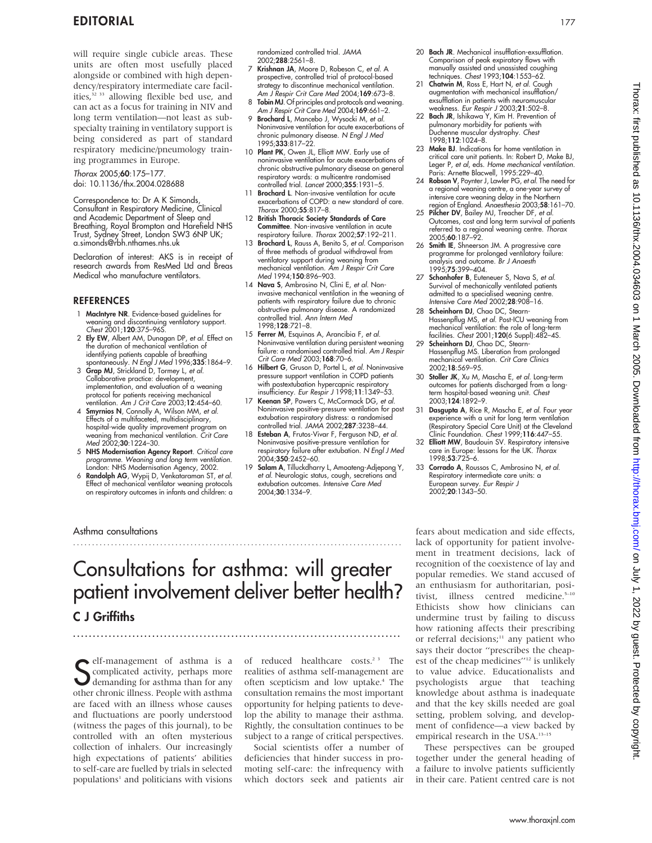will require single cubicle areas. These units are often most usefully placed alongside or combined with high dependency/respiratory intermediate care facilities,<sup>32 33</sup> allowing flexible bed use, and can act as a focus for training in NIV and long term ventilation—not least as subspecialty training in ventilatory support is being considered as part of standard respiratory medicine/pneumology training programmes in Europe.

Thorax 2005;60:175–177. doi: 10.1136/thx.2004.028688

Correspondence to: Dr A K Simonds, Consultant in Respiratory Medicine, Clinical and Academic Department of Sleep and Breathing, Royal Brompton and Harefield NHS Trust, Sydney Street, London SW3 6NP UK; a.simonds@rbh.nthames.nhs.uk

Declaration of interest: AKS is in receipt of research awards from ResMed Ltd and Breas Medical who manufacture ventilators.

#### **REFERENCES**

- 1 MacIntyre NR. Evidence-based guidelines for weaning and discontinuing ventilatory support. Chest 2001;120:375–96S.
- 2 Ely EW, Albert AM, Dunagan DP, et al. Effect on the duration of mechanical ventilation of identifying patients capable of breathing spontaneously. N Engl J Med 1996;335:1864-9.
- 3 Grap MJ, Strickland D, Tormey L, et al. Collaborative practice: development, implementation, and evaluation of a weaning protocol for patients receiving mechanical ventilation. Am J Crit Care 2003;12:454–60.
- 4 Smyrnios N, Connolly A, Wilson MM, et al. Effects of a multifaceted, multidisciplinary, hospital-wide quality improvement program on weaning from mechanical ventilation. Crit Care Med 2002;**30**:1224–30.
- 5 NHS Modernisation Agency Report. Critical care programme. Weaning and long term ventilation. London: NHS Modernisation Agency, 2002.
- 6 Randolph AG, Wypij D, Venkataraman ST, et al. Effect of mechanical ventilator weaning protocols on respiratory outcomes in infants and children: a

Asthma consultations

randomized controlled trial. JAMA 2002;288:2561–8.

- 7 Krishnan JA, Moore D, Robeson C, et al. A prospective, controlled trial of protocol-based strategy to discontinue mechanical ventilation. Am J Respir Crit Care Med 2004;169:673–8.
- 8 Tobin MJ. Of principles and protocols and weaning. Am J Respir Crit Care Med 2004;169:661–2.
- 9 Brochard L, Mancebo J, Wysocki M, et al. Noninvasive ventilation for acute exacerbations of chronic pulmonary disease. N Engl J Med 1995;333:817–22.
- 10 Plant PK, Owen JL, Elliott MW. Early use of noninvasive ventilation for acute exacerbations of chronic obstructive pulmonary disease on general respiratory wards: a multicentre randomised controlled trial. Lancet 2000;355:1931–5.
- 11 **Brochard L**. Non-invasive ventilation for acute exacerbations of COPD: a new standard of care. Thorax 2000;55:817–8.
- 12 British Thoracic Society Standards of Care Committee. Non-invasive ventilation in acute respiratory failure. Thorax 2002;57:192–211.
- 13 **Brochard L**, Rauss A, Benito S, et al. Comparison of three methods of gradual withdrawal from ventilatory support during weaning from mechanical ventilation. Am J Respir Crit Care Med 1994;150:896-903.
- 14 Nava S, Ambrosino N, Clini E, et al. Noninvasive mechanical ventilation in the weaning of patients with respiratory failure due to chronic obstructive pulmonary disease. A randomized controlled trial. Ann Intern Med 1998;128:721–8.
- 15 Ferrer M, Esquinas A, Arancibia F, et al. Noninvasive ventilation during persistent weaning failure: a randomised controlled trial. Am J Respir Crit Care Med 2003;168:70-6.
- 16 Hilbert G, Gruson D, Portel L, et al. Noninvasive pressure support ventilation in COPD patients with postextubation hypercapnic respiratory insufficiency. Eur Respir J 1998;11:1349–53.
- 17 Keenan SP, Powers C, McCormack DG, et al. Noninvasive positive-pressure ventilation for post extubation respiratory distress: a randomised controlled trial. JAMA 2002;287:3238–44.
- 18 Esteban A, Frutos-Vivar F, Ferguson ND, et al. Noninvasive positive-pressure ventilation for respiratory failure after extubation. *N Engl J Med*<br>2004;**350**:2452–60.
- 19 Salam A, Tilluckdharry L, Amoateng-Adjepong Y, et al. Neurologic status, cough, secretions and extubation outcomes. Intensive Care Med 2004;30:1334–9.
- 20 Bach JR. Mechanical insufflation-exsufflation. Comparison of peak expiratory flows with manually assisted and unassisted coughing techniques. Chest 1993;104:1553–62.
- 21 Chatwin M, Ross E, Hart N, et al. Cough augmentation with mechanical insufflation/ exsufflation in patients with neuromuscular weakness. Eur Respir J 2003;21:502–8.
- 22 Bach JR, Ishikawa<sup>'</sup>Y, Kim H. Prevention of pulmonary morbidity for patients with Duchenne muscular dystrophy. Chest 1998;112:1024–8.
- 23 Make BJ. Indications for home ventilation in critical care unit patients. In: Robert D, Make BJ, Leger P, et al, eds. Home mechanical ventilation. Paris: Arnette Blacwell, 1995:229–40.
- 24 Robson V, Poynter J, Lawler PG, et al. The need for a regional weaning centre, a one-year survey of intensive care weaning delay in the Northern region of England. Anaesthesia 2003;58:161–70.
- 25 Pilcher DV, Bailey MJ, Treacher DF, et al. Outcomes, cost and long term survival of patients referred to a regional weaning centre. Thorax 2005;60:187–92.
- 26 Smith IE, Shneerson JM. A progressive care programme for prolonged ventilatory failure: analysis and outcome. Br J Anaesth 1995;75:399–404.
- 27 Schonhofer B, Euteneuer S, Nava S, et al. Survival of mechanically ventilated patients admitted to a specialised weaning centre. Intensive Care Med 2002;28:908–16.
- 28 Scheinhorn DJ, Chao DC, Stearn-Hassenpflug MS, et al. Post-ICU weaning from mechanical ventilation: the role of long-term facilities. Chest 2001;120(6 Suppl):482–4S.
- 29 Scheinhorn DJ, Chao DC, Stearn-Hassenpflug MS. Liberation from prolonged mechanical ventilation. Crit Care Clinics 2002;18:569–95.
- 30 Stoller JK, Xu M, Mascha E, et al. Long-term outcomes for patients discharged from a longterm hospital-based weaning unit. Chest 2003;124:1892–9.
- 31 Dasgupta A, Rice R, Mascha E, et al. Four year experience with a unit for long term ventilation (Respiratory Special Care Unit) at the Cleveland Clinic Foundation. Chest 1999;116:447–55.
- 32 Elliott MW, Baudouin SV. Respiratory intensive care in Europe: lessons for the UK. Thorax 1998;53:725–6.
- 33 Corrado A, Roussos C, Ambrosino N, et al. Respiratory intermediate care units: a European survey. Eur Respir J 2002;20:1343–50.

Consultations for asthma: will greater patient involvement deliver better health? C J Griffiths ...................................................................................

.......................................................................................

Self-management of asthma is a<br>
Somplicated activity, perhaps more<br>
demanding for asthma than for any<br>
other chronic illness Boorle with asthma complicated activity, perhaps more demanding for asthma than for any other chronic illness. People with asthma are faced with an illness whose causes and fluctuations are poorly understood (witness the pages of this journal), to be controlled with an often mysterious collection of inhalers. Our increasingly high expectations of patients' abilities to self-care are fuelled by trials in selected  $\operatorname{populations^1}$  and politicians with visions

of reduced healthcare costs.<sup>23</sup> The realities of asthma self-management are often scepticism and low uptake.<sup>4</sup> The consultation remains the most important opportunity for helping patients to develop the ability to manage their asthma. Rightly, the consultation continues to be subject to a range of critical perspectives.

Social scientists offer a number of deficiencies that hinder success in promoting self-care: the infrequency with which doctors seek and patients air fears about medication and side effects, lack of opportunity for patient involvement in treatment decisions, lack of recognition of the coexistence of lay and popular remedies. We stand accused of an enthusiasm for authoritarian, positivist, illness centred medicine.<sup>5-10</sup> Ethicists show how clinicians can undermine trust by failing to discuss how rationing affects their prescribing or referral decisions;<sup>11</sup> any patient who says their doctor ''prescribes the cheapest of the cheap medicines"<sup>12</sup> is unlikely to value advice. Educationalists and psychologists argue that teaching knowledge about asthma is inadequate and that the key skills needed are goal setting, problem solving, and development of confidence—a view backed by empirical research in the USA.13–15

These perspectives can be grouped together under the general heading of a failure to involve patients sufficiently in their care. Patient centred care is not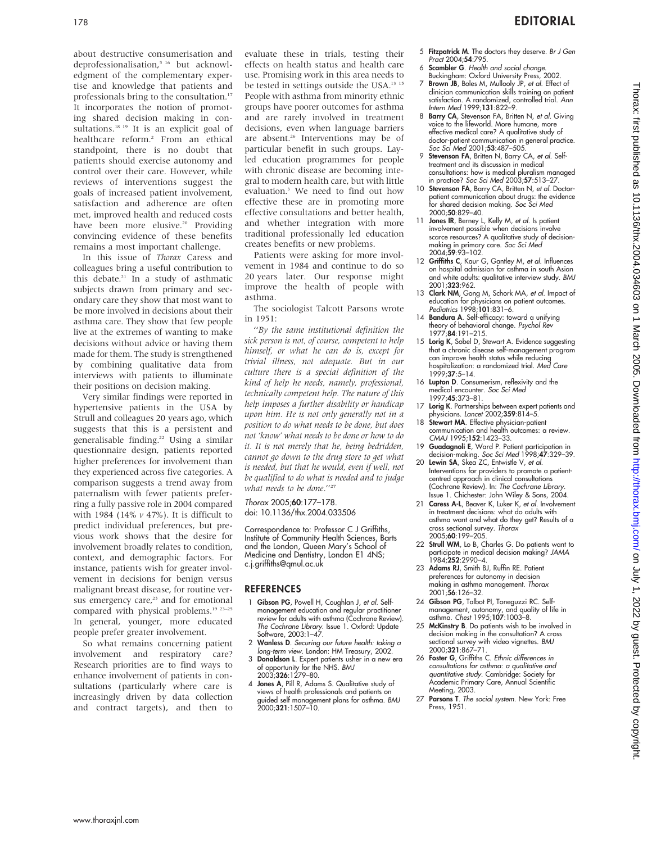about destructive consumerisation and deprofessionalisation,<sup>5 16</sup> but acknowledgment of the complementary expertise and knowledge that patients and professionals bring to the consultation.<sup>17</sup> It incorporates the notion of promoting shared decision making in consultations.<sup>18</sup> <sup>19</sup> It is an explicit goal of healthcare reform.<sup>2</sup> From an ethical standpoint, there is no doubt that patients should exercise autonomy and control over their care. However, while reviews of interventions suggest the goals of increased patient involvement, satisfaction and adherence are often met, improved health and reduced costs have been more elusive.<sup>20</sup> Providing convincing evidence of these benefits remains a most important challenge.

In this issue of Thorax Caress and colleagues bring a useful contribution to this debate. $21$  In a study of asthmatic subjects drawn from primary and secondary care they show that most want to be more involved in decisions about their asthma care. They show that few people live at the extremes of wanting to make decisions without advice or having them made for them. The study is strengthened by combining qualitative data from interviews with patients to illuminate their positions on decision making.

Very similar findings were reported in hypertensive patients in the USA by Strull and colleagues 20 years ago, which suggests that this is a persistent and generalisable finding.22 Using a similar questionnaire design, patients reported higher preferences for involvement than they experienced across five categories. A comparison suggests a trend away from paternalism with fewer patients preferring a fully passive role in 2004 compared with 1984 (14%  $\nu$  47%). It is difficult to predict individual preferences, but previous work shows that the desire for involvement broadly relates to condition, context, and demographic factors. For instance, patients wish for greater involvement in decisions for benign versus malignant breast disease, for routine versus emergency care, $23$  and for emotional compared with physical problems.<sup>19 23-25</sup> In general, younger, more educated people prefer greater involvement.

So what remains concerning patient involvement and respiratory care? Research priorities are to find ways to enhance involvement of patients in consultations (particularly where care is increasingly driven by data collection and contract targets), and then to

evaluate these in trials, testing their effects on health status and health care use. Promising work in this area needs to be tested in settings outside the USA.<sup>13 15</sup> People with asthma from minority ethnic groups have poorer outcomes for asthma and are rarely involved in treatment decisions, even when language barriers are absent.<sup>26</sup> Interventions may be of particular benefit in such groups. Layled education programmes for people with chronic disease are becoming integral to modern health care, but with little evaluation.3 We need to find out how effective these are in promoting more effective consultations and better health, and whether integration with more traditional professionally led education creates benefits or new problems.

Patients were asking for more involvement in 1984 and continue to do so 20 years later. Our response might improve the health of people with asthma.

The sociologist Talcott Parsons wrote in 1951:

''By the same institutional definition the sick person is not, of course, competent to help himself, or what he can do is, except for trivial illness, not adequate. But in our culture there is a special definition of the kind of help he needs, namely, professional, technically competent help. The nature of this help imposes a further disability or handicap upon him. He is not only generally not in a position to do what needs to be done, but does not 'know' what needs to be done or how to do it. It is not merely that he, being bedridden, cannot go down to the drug store to get what is needed, but that he would, even if well, not be qualified to do what is needed and to judge what needs to be done."<sup>27</sup>

Thorax 2005;60:177–178. doi: 10.1136/thx.2004.033506

Correspondence to: Professor C J Griffiths, Institute of Community Health Sciences, Barts and the London, Queen Mary's School of Medicine and Dentistry, London E1 4NS; c.j.griffiths@qmul.ac.uk

#### **REFERENCES**

- 1 Gibson PG, Powell H, Coughlan J, et al. Selfmanagement education and regular practitioner review for adults with asthma (Cochrane Review). The Cochrane Library. Issue 1. Oxford: Update Software, 2003:1–47.
- 2 Wanless D. Securing our future health: taking a long-term view. London: HM Treasury, 2002.
- 3 Donaldson L. Expert patients usher in a new era of opportunity for the NHS. BMJ 2003;326:1279–80.
- 4 Jones A, Pill R, Adams S. Qualitative study of views of health professionals and patients on guided self management plans for asthma. *BMJ*<br>2000;**321**:1507–10.
- 5 Fitzpatrick M. The doctors they deserve. Br J Gen Pract 2004;54:795.
- 6 Scambler G. Health and social change. Buckingham: Oxford University Press, 2002.
	- 7 Brown JB, Boles M, Mullooly JP, et al. Effect of clinician communication skills training on patient satisfaction. A randomized, controlled trial. Ann Intern Med 1999;131:822–9.
	- 8 Barry CA, Stevenson FA, Britten N, et al. Giving voice to the lifeworld. More humane, more effective medical care? A qualitative study of doctor-patient communication in general practice. Soc Sci Med 2001;53:487–505.
	- 9 Stevenson FA, Britten N, Barry CA, et al. Selftreatment and its discussion in medical consultations: how is medical pluralism managed in practice? Soc Sci Med 2003;57:513–27.
	- 10 Stevenson FA, Barry CA, Britten N, et al. Doctorpatient communication about drugs: the evidence for shared decision making. Soc Sci Med 2000;50:829–40.
	- 11 **Jones IR**, Berney L, Kelly M, et al. Is patient involvement possible when decisions involve scarce resources? A qualitative study of decisionmaking in primary care. *Soc Sci Med*<br>2004;**59**:93–102.
	- 12 Griffiths C, Kaur G, Gantley M, et al. Influences on hospital admission for asthma in south Asian and white adults: qualitative interview study. BMJ 2001;323:962.
	- 13 Clark NM, Gong M, Schork MA, et al. Impact of education for physicians on patient outcomes. Pediatrics 1998;101:831-6.
	- 14 **Bandura A**. Self-efficacy: toward a unifying theory of behavioral change. Psychol Rev 1977;84:191–215.
	- 15 Lorig K, Sobel D, Stewart A. Evidence suggesting that a chronic disease self-management program can improve health status while reducing hospitalization: a randomized trial. Med Care 1999;37:5–14.
	- 16 Lupton D. Consumerism, reflexivity and the medical encounter. Soc Sci Med 1997;45:373–81.
	- 17 Lorig K. Partnerships between expert patients and physicians. Lancet 2002;359:814–5.
	- 18 Stewart MA. Effective physician-patient communication and health outcomes: a review. CMAJ 1995;152:1423–33.
	- 19 Guadagnoli E, Ward P. Patient participation in decision-making. Soc Sci Med 1998;47:329–39.
	- 20 Lewin SA, Skea ZC, Entwistle V, et al. Interventions for providers to promote a patientcentred approach in clinical consultations (Cochrane Review). In: The Cochrane Library. Issue 1. Chichester: John Wiley & Sons, 2004.
	- 21 Caress A-L, Beaver K, Luker K, et al. Involvement in treatment decisions: what do adults with asthma want and what do they get? Results of a cross sectional survey. Thorax 2005;60:199–205.
	- 22 Strull WM, Lo B, Charles G. Do patients want to participate in medical decision making? JAMA 1984;252:2990–4.
	- 23 Adams RJ, Smith BJ, Ruffin RE. Patient preferences for autonomy in decision making in asthma management. Thorax 2001;56:126–32.
	- 24 Gibson PG, Talbot PI, Toneguzzi RC. Selfmanagement, autonomy, and quality of life in asthma. Chest 1995;107:1003–8.
- 25 McKinstry B. Do patients wish to be involved in decision making in the consultation? A cross sectional survey with video vignettes. BMJ<br>2000;**321**:867–71.
- 26 Foster G, Griffiths C. Ethnic differences in consultations for asthma: a qualitative and quantitative study. Cambridge: Society for Academic Primary Care, Annual Scientific Meeting, 2003.
- 27 Parsons T. The social system. New York: Free Press, 1951.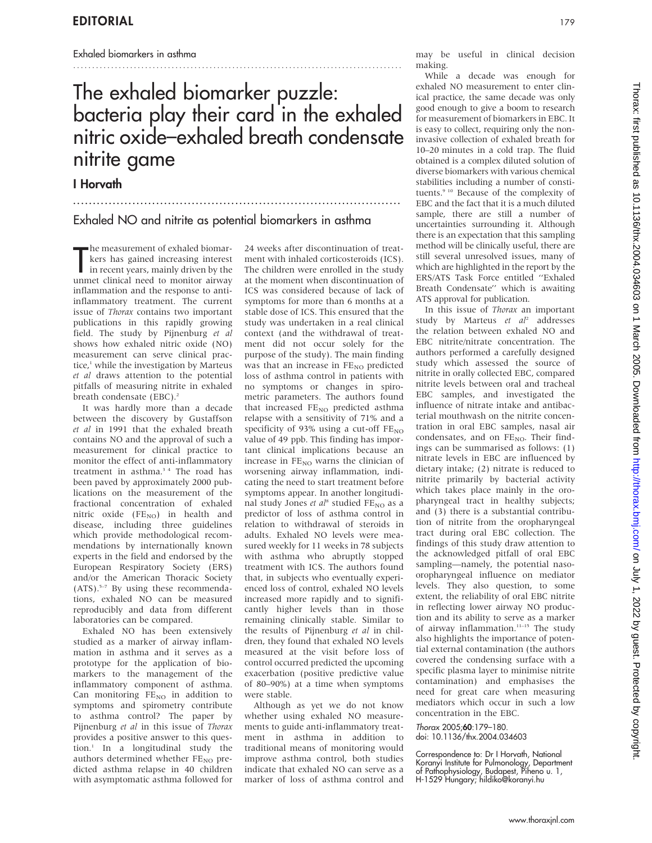#### Exhaled biomarkers in asthma

# The exhaled biomarker puzzle: bacteria play their card in the exhaled nitric oxide–exhaled breath condensate nitrite game

...................................................................................

I Horvath

## Exhaled NO and nitrite as potential biomarkers in asthma

The measurement of exhaled biomar-<br>kers has gained increasing interest<br>in recent years, mainly driven by the<br>unmet clinical need to monitor airway he measurement of exhaled biomarkers has gained increasing interest in recent years, mainly driven by the inflammation and the response to antiinflammatory treatment. The current issue of Thorax contains two important publications in this rapidly growing field. The study by Pijnenburg et al shows how exhaled nitric oxide (NO) measurement can serve clinical practice, $\frac{1}{1}$  while the investigation by Marteus et al draws attention to the potential pitfalls of measuring nitrite in exhaled breath condensate (EBC).<sup>2</sup>

It was hardly more than a decade between the discovery by Gustaffson et al in 1991 that the exhaled breath contains NO and the approval of such a measurement for clinical practice to monitor the effect of anti-inflammatory treatment in asthma.<sup>34</sup> The road has been paved by approximately 2000 publications on the measurement of the fractional concentration of exhaled nitric oxide (FENO) in health and disease, including three guidelines which provide methodological recommendations by internationally known experts in the field and endorsed by the European Respiratory Society (ERS) and/or the American Thoracic Society  $(ATS).<sup>5-7</sup>$  By using these recommendations, exhaled NO can be measured reproducibly and data from different laboratories can be compared.

Exhaled NO has been extensively studied as a marker of airway inflammation in asthma and it serves as a prototype for the application of biomarkers to the management of the inflammatory component of asthma. Can monitoring  $FE_{NO}$  in addition to symptoms and spirometry contribute to asthma control? The paper by Pijnenburg et al in this issue of Thorax provides a positive answer to this question.1 In a longitudinal study the authors determined whether  $FE<sub>NO</sub>$  predicted asthma relapse in 40 children with asymptomatic asthma followed for 24 weeks after discontinuation of treatment with inhaled corticosteroids (ICS). The children were enrolled in the study at the moment when discontinuation of ICS was considered because of lack of symptoms for more than 6 months at a stable dose of ICS. This ensured that the study was undertaken in a real clinical context (and the withdrawal of treatment did not occur solely for the purpose of the study). The main finding was that an increase in  $FE_{NO}$  predicted loss of asthma control in patients with no symptoms or changes in spirometric parameters. The authors found that increased  $FE_{NO}$  predicted asthma relapse with a sensitivity of 71% and a specificity of 93% using a cut-off  $FE_{NO}$ value of 49 ppb. This finding has important clinical implications because an increase in  $FE_{NO}$  warns the clinician of worsening airway inflammation, indicating the need to start treatment before symptoms appear. In another longitudinal study Jones et al<sup>8</sup> studied FE<sub>NO</sub> as a predictor of loss of asthma control in relation to withdrawal of steroids in adults. Exhaled NO levels were measured weekly for 11 weeks in 78 subjects with asthma who abruptly stopped treatment with ICS. The authors found that, in subjects who eventually experienced loss of control, exhaled NO levels increased more rapidly and to significantly higher levels than in those remaining clinically stable. Similar to the results of Pijnenburg et al in children, they found that exhaled NO levels measured at the visit before loss of control occurred predicted the upcoming exacerbation (positive predictive value of 80–90%) at a time when symptoms were stable.

Although as yet we do not know whether using exhaled NO measurements to guide anti-inflammatory treatment in asthma in addition to traditional means of monitoring would improve asthma control, both studies indicate that exhaled NO can serve as a marker of loss of asthma control and

may be useful in clinical decision making.

While a decade was enough for exhaled NO measurement to enter clinical practice, the same decade was only good enough to give a boom to research for measurement of biomarkers in EBC. It is easy to collect, requiring only the noninvasive collection of exhaled breath for 10–20 minutes in a cold trap. The fluid obtained is a complex diluted solution of diverse biomarkers with various chemical stabilities including a number of constituents.9 10 Because of the complexity of EBC and the fact that it is a much diluted sample, there are still a number of uncertainties surrounding it. Although there is an expectation that this sampling method will be clinically useful, there are still several unresolved issues, many of which are highlighted in the report by the ERS/ATS Task Force entitled ''Exhaled Breath Condensate'' which is awaiting ATS approval for publication.

In this issue of Thorax an important study by Marteus et al<sup>2</sup> addresses the relation between exhaled NO and EBC nitrite/nitrate concentration. The authors performed a carefully designed study which assessed the source of nitrite in orally collected EBC, compared nitrite levels between oral and tracheal EBC samples, and investigated the influence of nitrate intake and antibacterial mouthwash on the nitrite concentration in oral EBC samples, nasal air condensates, and on  $FE_{NO}$ . Their findings can be summarised as follows: (1) nitrate levels in EBC are influenced by dietary intake; (2) nitrate is reduced to nitrite primarily by bacterial activity which takes place mainly in the oropharyngeal tract in healthy subjects; and (3) there is a substantial contribution of nitrite from the oropharyngeal tract during oral EBC collection. The findings of this study draw attention to the acknowledged pitfall of oral EBC sampling—namely, the potential nasooropharyngeal influence on mediator levels. They also question, to some extent, the reliability of oral EBC nitrite in reflecting lower airway NO production and its ability to serve as a marker of airway inflammation.<sup>11-15</sup> The study also highlights the importance of potential external contamination (the authors covered the condensing surface with a specific plasma layer to minimise nitrite contamination) and emphasises the need for great care when measuring mediators which occur in such a low concentration in the EBC.

Thorax 2005;60:179–180. doi: 10.1136/thx.2004.034603

Correspondence to: Dr I Horvath, National Koranyi Institute for Pulmonology, Department of Pathophysiology, Budapest, Piheno u. 1, H-1529 Hungary; hildiko@koranyi.hu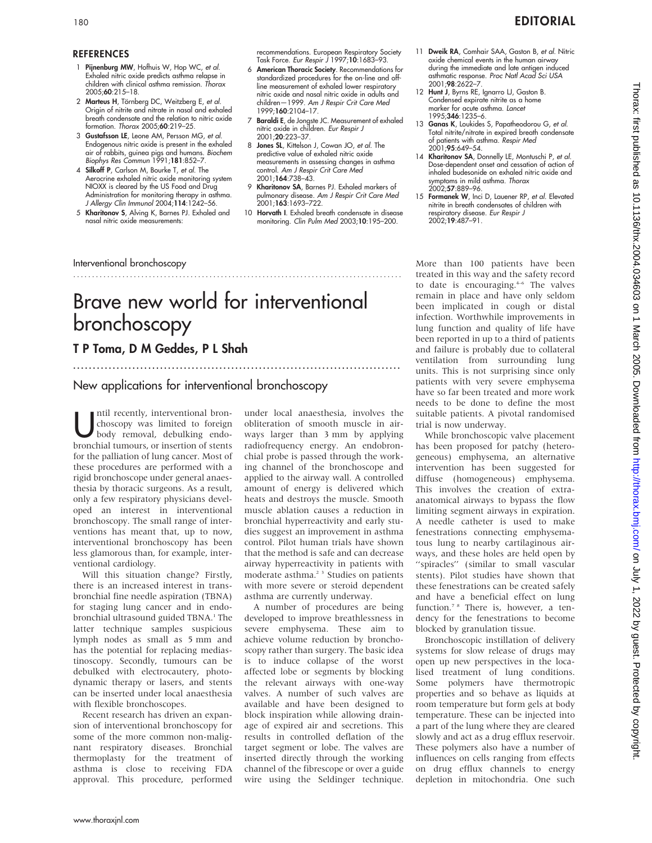#### REFERENCES

- Pijnenburg MW, Hofhuis W, Hop WC, et al. Exhaled nitric oxide predicts asthma relapse in children with clinical asthma remission. Thorax 2005;60:215–18.
- 2 **Marteus H**, Törnberg DC, Weitzberg E, *et al.*<br>Origin of nitrite and nitrate in nasal and exhaled breath condensate and the relation to nitric oxide formation. Thorax 2005;60:219–25.
- 3 Gustafsson LE, Leone AM, Persson MG, et al. Endogenous nitric oxide is present in the exhaled air of rabbits, guinea pigs and humans. Biochem Biophys Res Commun 1991;181:852–7.
- 4 Silkoff P, Carlson M, Bourke T, et al. The Aerocrine exhaled nitric oxide monitoring system NIOXX is cleared by the US Food and Drug Administration for monitoring therapy in asthma. J Allergy Clin Immunol 2004; 114: 1242-56.
- 5 Kharitonov S, Alving K, Barnes PJ. Exhaled and nasal nitric oxide measurements:

#### Interventional bronchoscopy

.......................................................................................

#### recommendations. European Respiratory Society Task Force. Eur Respir J 1997;10:1683-93.

- 6 American Thoracic Society. Recommendations for standardized procedures for the on-line and offline measurement of exhaled lower respiratory nitric oxide and nasal nitric oxide in adults and children—1999. Am J Respir Crit Care Med 1999;160:2104–17.
- 7 Baraldi E, de Jongste JC. Measurement of exhaled nitric oxide in children. Eur Respir J 2001;20:223–37.
- 8 Jones SL, Kittelson J, Cowan JO, et al. The predictive value of exhaled nitric oxide measurements in assessing changes in asthma control. Am J Respir Crit Care Med 2001;164:738–43.
- 9 Kharitonov SA, Barnes PJ. Exhaled markers of pulmonary disease. *Am J Respir Crit Care Med*<br>2001;**163**:1693–722.
- 10 Horvath I. Exhaled breath condensate in disease monitoring. Clin Pulm Med 2003;10:195–200.
- 11 Dweik RA, Comhair SAA, Gaston B, et al. Nitric oxide chemical events in the human airway during the immediate and late antigen induced asthmatic response. Proc Natl Acad Sci USA 2001;98:2622–7.
- 12 Hunt J, Byrns RE, Ignarro LJ, Gaston B. Condensed expirate nitrite as a home marker for acute asthma. Lancet 1995;**346**:1235–6.
- 13 Ganas K, Loukides S, Papatheodorou G, et al. Total nitrite/nitrate in expired breath condensate of patients with asthma. Respir Med 2001;95:649–54.
- 14 Kharitonov SA, Donnelly LE, Montuschi P, et al. Dose-dependent onset and cessation of action of inhaled budesonide on exhaled nitric oxide and symptoms in mild asthma. *Thorax*<br>2002;**57**:889–96.
- 15 Formanek W, Inci D, Lauener RP, et al. Elevated nitrite in breath condensates of children with respiratory disease. Eur Respir J  $2002 \cdot 19.487 - 91$

# Brave new world for interventional bronchoscopy

...................................................................................

## T P Toma, D M Geddes, P L Shah

New applications for interventional bronchoscopy

Intil recently, interventional bron-<br>
choscopy was limited to foreign<br>
body removal, debulking endochoscopy was limited to foreign bronchial tumours, or insertion of stents for the palliation of lung cancer. Most of these procedures are performed with a rigid bronchoscope under general anaesthesia by thoracic surgeons. As a result, only a few respiratory physicians developed an interest in interventional bronchoscopy. The small range of interventions has meant that, up to now, interventional bronchoscopy has been less glamorous than, for example, interventional cardiology.

Will this situation change? Firstly, there is an increased interest in transbronchial fine needle aspiration (TBNA) for staging lung cancer and in endobronchial ultrasound guided TBNA.<sup>1</sup> The latter technique samples suspicious lymph nodes as small as 5 mm and has the potential for replacing mediastinoscopy. Secondly, tumours can be debulked with electrocautery, photodynamic therapy or lasers, and stents can be inserted under local anaesthesia with flexible bronchoscopes.

Recent research has driven an expansion of interventional bronchoscopy for some of the more common non-malignant respiratory diseases. Bronchial thermoplasty for the treatment of asthma is close to receiving FDA approval. This procedure, performed under local anaesthesia, involves the obliteration of smooth muscle in airways larger than 3 mm by applying radiofrequency energy. An endobronchial probe is passed through the working channel of the bronchoscope and applied to the airway wall. A controlled amount of energy is delivered which heats and destroys the muscle. Smooth muscle ablation causes a reduction in bronchial hyperreactivity and early studies suggest an improvement in asthma control. Pilot human trials have shown that the method is safe and can decrease airway hyperreactivity in patients with moderate asthma.<sup>2</sup> <sup>3</sup> Studies on patients with more severe or steroid dependent asthma are currently underway.

A number of procedures are being developed to improve breathlessness in severe emphysema. These aim to achieve volume reduction by bronchoscopy rather than surgery. The basic idea is to induce collapse of the worst affected lobe or segments by blocking the relevant airways with one-way valves. A number of such valves are available and have been designed to block inspiration while allowing drainage of expired air and secretions. This results in controlled deflation of the target segment or lobe. The valves are inserted directly through the working channel of the fibrescope or over a guide wire using the Seldinger technique.

More than 100 patients have been treated in this way and the safety record to date is encouraging.4–6 The valves remain in place and have only seldom been implicated in cough or distal infection. Worthwhile improvements in lung function and quality of life have been reported in up to a third of patients and failure is probably due to collateral ventilation from surrounding lung units. This is not surprising since only patients with very severe emphysema have so far been treated and more work needs to be done to define the most suitable patients. A pivotal randomised trial is now underway.

While bronchoscopic valve placement has been proposed for patchy (heterogeneous) emphysema, an alternative intervention has been suggested for diffuse (homogeneous) emphysema. This involves the creation of extraanatomical airways to bypass the flow limiting segment airways in expiration. A needle catheter is used to make fenestrations connecting emphysematous lung to nearby cartilaginous airways, and these holes are held open by ''spiracles'' (similar to small vascular stents). Pilot studies have shown that these fenestrations can be created safely and have a beneficial effect on lung function.<sup>7 8</sup> There is, however, a tendency for the fenestrations to become blocked by granulation tissue.

Bronchoscopic instillation of delivery systems for slow release of drugs may open up new perspectives in the localised treatment of lung conditions. Some polymers have thermotropic properties and so behave as liquids at room temperature but form gels at body temperature. These can be injected into a part of the lung where they are cleared slowly and act as a drug efflux reservoir. These polymers also have a number of influences on cells ranging from effects on drug efflux channels to energy depletion in mitochondria. One such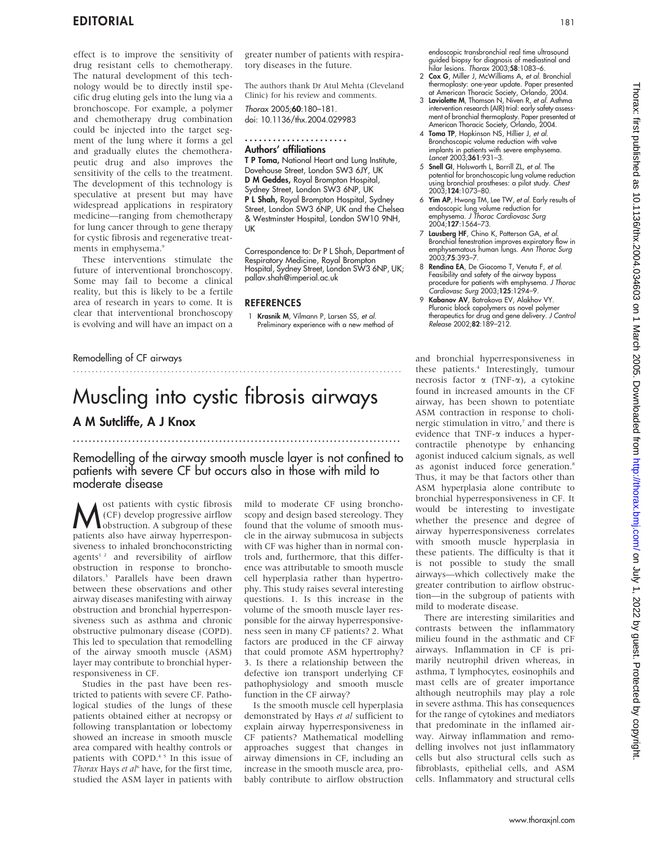effect is to improve the sensitivity of drug resistant cells to chemotherapy. The natural development of this technology would be to directly instil specific drug eluting gels into the lung via a bronchoscope. For example, a polymer and chemotherapy drug combination could be injected into the target segment of the lung where it forms a gel and gradually elutes the chemotherapeutic drug and also improves the sensitivity of the cells to the treatment. The development of this technology is speculative at present but may have widespread applications in respiratory medicine—ranging from chemotherapy for lung cancer through to gene therapy for cystic fibrosis and regenerative treatments in emphysema.<sup>9</sup>

These interventions stimulate the future of interventional bronchoscopy. Some may fail to become a clinical reality, but this is likely to be a fertile area of research in years to come. It is clear that interventional bronchoscopy is evolving and will have an impact on a

greater number of patients with respiratory diseases in the future.

The authors thank Dr Atul Mehta (Cleveland Clinic) for his review and comments.

Thorax 2005;60:180–181. doi: 10.1136/thx.2004.029983

......................

### Authors' affiliations

T P Toma, National Heart and Lung Institute, Dovehouse Street, London SW3 6JY, UK D M Geddes, Royal Brompton Hospital, Sydney Street, London SW3 6NP, UK P L Shah, Royal Brompton Hospital, Sydney Street, London SW3 6NP, UK and the Chelsea & Westminster Hospital, London SW10 9NH, UK

Correspondence to: Dr P L Shah, Department of Respiratory Medicine, Royal Brompton Hospital, Sydney Street, London SW3 6NP, UK; pallav.shah@imperial.ac.uk

#### REFERENCES

.......................................................................................

1 Krasnik M, Vilmann P, Larsen SS, et al. Preliminary experience with a new method of

Remodelling of CF airways

## Muscling into cystic fibrosis airways A M Sutcliffe, A J Knox

Remodelling of the airway smooth muscle layer is not confined to patients with severe CF but occurs also in those with mild to moderate disease

...................................................................................

**M** (CF) develop progressive airflow<br>obstruction. A subgroup of these<br>patients also have airway hypergeon (CF) develop progressive airflow **l**obstruction. A subgroup of these patients also have airway hyperresponsiveness to inhaled bronchoconstricting agents<sup>12</sup> and reversibility of airflow obstruction in response to bronchodilators.3 Parallels have been drawn between these observations and other airway diseases manifesting with airway obstruction and bronchial hyperresponsiveness such as asthma and chronic obstructive pulmonary disease (COPD). This led to speculation that remodelling of the airway smooth muscle (ASM) layer may contribute to bronchial hyperresponsiveness in CF.

Studies in the past have been restricted to patients with severe CF. Pathological studies of the lungs of these patients obtained either at necropsy or following transplantation or lobectomy showed an increase in smooth muscle area compared with healthy controls or patients with COPD.<sup>45</sup> In this issue of Thorax Hays et al<sup>6</sup> have, for the first time, studied the ASM layer in patients with mild to moderate CF using bronchoscopy and design based stereology. They found that the volume of smooth muscle in the airway submucosa in subjects with CF was higher than in normal controls and, furthermore, that this difference was attributable to smooth muscle cell hyperplasia rather than hypertrophy. This study raises several interesting questions. 1. Is this increase in the volume of the smooth muscle layer responsible for the airway hyperresponsiveness seen in many CF patients? 2. What factors are produced in the CF airway that could promote ASM hypertrophy? 3. Is there a relationship between the defective ion transport underlying CF pathophysiology and smooth muscle function in the CF airway?

Is the smooth muscle cell hyperplasia demonstrated by Hays et al sufficient to explain airway hyperresponsiveness in CF patients? Mathematical modelling approaches suggest that changes in airway dimensions in CF, including an increase in the smooth muscle area, probably contribute to airflow obstruction

endoscopic transbronchial real time ultrasound guided biopsy for diagnosis of mediastinal and<br>hilar lesions. *Thorax* 2003;**58**:1083–6.<br>2 **Cox G**, Miller J, McWilliams A, *et al*. Bronchial

- thermoplasty: one-year update. Paper presented at American Thoracic Society, Orlando, 2004.
- 3 Laviolette M, Thomson N, Niven R, et al. Asthma intervention research (AIR) trial: early safety assessment of bronchial thermoplasty. Paper presented at American Thoracic Society, Orlando, 2004.
- 4 Toma TP, Hopkinson NS, Hillier J, et al. Bronchoscopic volume reduction with valve implants in patients with severe emphysema.<br>*Lancet* 2003;**361**:931–3.
- 5 Snell GI, Holsworth L, Borrill ZL, et al. The potential for bronchoscopic lung volume reduction using bronchial prostheses: a pilot study. Chest 2003;124:1073–80.
- 6 Yim AP, Hwong TM, Lee TW, et al. Early results of endoscopic lung volume reduction for emphysema. J Thorac Cardiovasc Surg 2004;127:1564–73.
- 7 Lausberg HF, Chino K, Patterson GA, et al. Bronchial fenestration improves expiratory flow in emphysematous human lungs. Ann Thorac Surg 2003;75:393–7.
- 8 Rendina EA, De Giacomo T, Venuta F, et al. Feasibility and safety of the airway bypass procedure for patients with emphysema. J Thorac Cardiovasc Surg 2003;125:1294–9.
- 9 Kabanov AV, Batrakova EV, Alakhov VY. Pluronic block copolymers as novel polymer therapeutics for drug and gene delivery. *J Control*<br>*Release* 2002;**82**:189–212.

and bronchial hyperresponsiveness in these patients.<sup>4</sup> Interestingly, tumour necrosis factor  $\alpha$  (TNF- $\alpha$ ), a cytokine found in increased amounts in the CF airway, has been shown to potentiate ASM contraction in response to cholinergic stimulation in vitro, $\bar{z}$  and there is evidence that TNF-a induces a hypercontractile phenotype by enhancing agonist induced calcium signals, as well as agonist induced force generation.<sup>8</sup> Thus, it may be that factors other than ASM hyperplasia alone contribute to bronchial hyperresponsiveness in CF. It would be interesting to investigate whether the presence and degree of airway hyperresponsiveness correlates with smooth muscle hyperplasia in these patients. The difficulty is that it is not possible to study the small airways—which collectively make the greater contribution to airflow obstruction—in the subgroup of patients with mild to moderate disease.

There are interesting similarities and contrasts between the inflammatory milieu found in the asthmatic and CF airways. Inflammation in CF is primarily neutrophil driven whereas, in asthma, T lymphocytes, eosinophils and mast cells are of greater importance although neutrophils may play a role in severe asthma. This has consequences for the range of cytokines and mediators that predominate in the inflamed airway. Airway inflammation and remodelling involves not just inflammatory cells but also structural cells such as fibroblasts, epithelial cells, and ASM cells. Inflammatory and structural cells